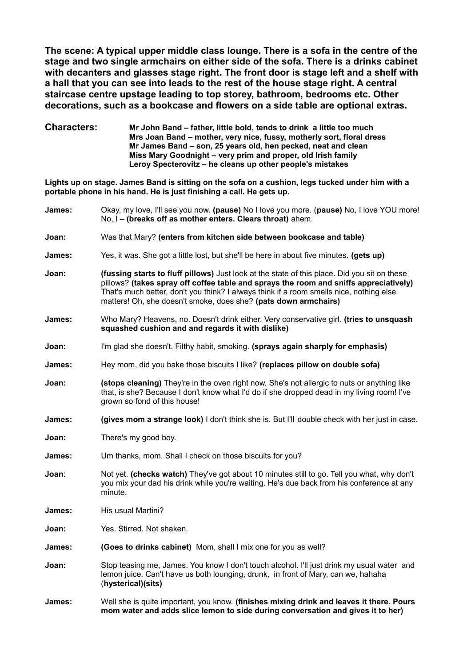**The scene: A typical upper middle class lounge. There is a sofa in the centre of the stage and two single armchairs on either side of the sofa. There is a drinks cabinet with decanters and glasses stage right. The front door is stage left and a shelf with a hall that you can see into leads to the rest of the house stage right. A central staircase centre upstage leading to top storey, bathroom, bedrooms etc. Other decorations, such as a bookcase and flowers on a side table are optional extras.**

**Characters: Mr John Band – father, little bold, tends to drink a little too much Mrs Joan Band – mother, very nice, fussy, motherly sort, floral dress Mr James Band – son, 25 years old, hen pecked, neat and clean Miss Mary Goodnight – very prim and proper, old Irish family Leroy Specterovitz – he cleans up other people's mistakes**

**Lights up on stage. James Band is sitting on the sofa on a cushion, legs tucked under him with a portable phone in his hand. He is just finishing a call. He gets up.** 

| James:        | Okay, my love, I'll see you now. (pause) No I love you more. (pause) No, I love YOU more!<br>No, I - (breaks off as mother enters. Clears throat) ahem.                                                                                                                                                                                             |
|---------------|-----------------------------------------------------------------------------------------------------------------------------------------------------------------------------------------------------------------------------------------------------------------------------------------------------------------------------------------------------|
| Joan:         | Was that Mary? (enters from kitchen side between bookcase and table)                                                                                                                                                                                                                                                                                |
| James:        | Yes, it was. She got a little lost, but she'll be here in about five minutes. (gets up)                                                                                                                                                                                                                                                             |
| Joan:         | (fussing starts to fluff pillows) Just look at the state of this place. Did you sit on these<br>pillows? (takes spray off coffee table and sprays the room and sniffs appreciatively)<br>That's much better, don't you think? I always think if a room smells nice, nothing else<br>matters! Oh, she doesn't smoke, does she? (pats down armchairs) |
| James:        | Who Mary? Heavens, no. Doesn't drink either. Very conservative girl. (tries to unsquash<br>squashed cushion and and regards it with dislike)                                                                                                                                                                                                        |
| Joan:         | I'm glad she doesn't. Filthy habit, smoking. (sprays again sharply for emphasis)                                                                                                                                                                                                                                                                    |
| James:        | Hey mom, did you bake those biscuits I like? (replaces pillow on double sofa)                                                                                                                                                                                                                                                                       |
| Joan:         | (stops cleaning) They're in the oven right now. She's not allergic to nuts or anything like<br>that, is she? Because I don't know what I'd do if she dropped dead in my living room! I've<br>grown so fond of this house!                                                                                                                           |
| James:        | (gives mom a strange look) I don't think she is. But I'll double check with her just in case.                                                                                                                                                                                                                                                       |
| Joan:         | There's my good boy.                                                                                                                                                                                                                                                                                                                                |
| James:        | Um thanks, mom. Shall I check on those biscuits for you?                                                                                                                                                                                                                                                                                            |
| Joan∶         | Not yet. (checks watch) They've got about 10 minutes still to go. Tell you what, why don't<br>you mix your dad his drink while you're waiting. He's due back from his conference at any<br>minute.                                                                                                                                                  |
| <b>James:</b> | His usual Martini?                                                                                                                                                                                                                                                                                                                                  |
| Joan:         | Yes. Stirred. Not shaken.                                                                                                                                                                                                                                                                                                                           |
| James:        | (Goes to drinks cabinet) Mom, shall I mix one for you as well?                                                                                                                                                                                                                                                                                      |
| Joan:         | Stop teasing me, James. You know I don't touch alcohol. I'll just drink my usual water and<br>lemon juice. Can't have us both lounging, drunk, in front of Mary, can we, hahaha<br>(hysterical)(sits)                                                                                                                                               |
| <b>James:</b> | Well she is quite important, you know. (finishes mixing drink and leaves it there. Pours<br>mom water and adds slice lemon to side during conversation and gives it to her)                                                                                                                                                                         |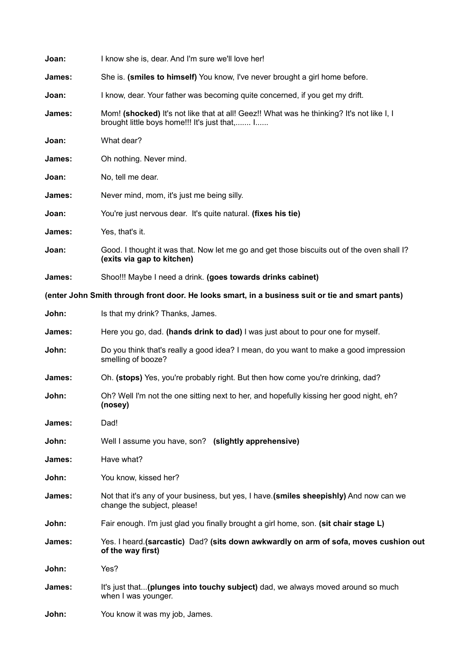| Joan:  | I know she is, dear. And I'm sure we'll love her!                                                                                          |
|--------|--------------------------------------------------------------------------------------------------------------------------------------------|
| James: | She is. (smiles to himself) You know, I've never brought a girl home before.                                                               |
| Joan:  | I know, dear. Your father was becoming quite concerned, if you get my drift.                                                               |
| James: | Mom! (shocked) It's not like that at all! Geez!! What was he thinking? It's not like I, I<br>brought little boys home!!! It's just that, I |
| Joan:  | What dear?                                                                                                                                 |
| James: | Oh nothing. Never mind.                                                                                                                    |
| Joan:  | No, tell me dear.                                                                                                                          |
| James: | Never mind, mom, it's just me being silly.                                                                                                 |
| Joan:  | You're just nervous dear. It's quite natural. (fixes his tie)                                                                              |
| James: | Yes, that's it.                                                                                                                            |
| Joan:  | Good. I thought it was that. Now let me go and get those biscuits out of the oven shall I?<br>(exits via gap to kitchen)                   |
| James: | Shoo!!! Maybe I need a drink. (goes towards drinks cabinet)                                                                                |
|        | (enter John Smith through front door. He looks smart, in a business suit or tie and smart pants)                                           |
| John:  | Is that my drink? Thanks, James.                                                                                                           |
| James: | Here you go, dad. (hands drink to dad) I was just about to pour one for myself.                                                            |
| John:  | Do you think that's really a good idea? I mean, do you want to make a good impression<br>smelling of booze?                                |
| James: | Oh. (stops) Yes, you're probably right. But then how come you're drinking, dad?                                                            |
| John:  | Oh? Well I'm not the one sitting next to her, and hopefully kissing her good night, eh?<br>(nosey)                                         |
| James: | Dad!                                                                                                                                       |
| John:  | Well I assume you have, son? (slightly apprehensive)                                                                                       |
| James: | Have what?                                                                                                                                 |
| John:  | You know, kissed her?                                                                                                                      |
| James: | Not that it's any of your business, but yes, I have. (smiles sheepishly) And now can we<br>change the subject, please!                     |
| John:  | Fair enough. I'm just glad you finally brought a girl home, son. (sit chair stage L)                                                       |
| James: | Yes. I heard. (sarcastic) Dad? (sits down awkwardly on arm of sofa, moves cushion out<br>of the way first)                                 |
| John:  | Yes?                                                                                                                                       |
| James: | It's just that (plunges into touchy subject) dad, we always moved around so much<br>when I was younger.                                    |
| John:  | You know it was my job, James.                                                                                                             |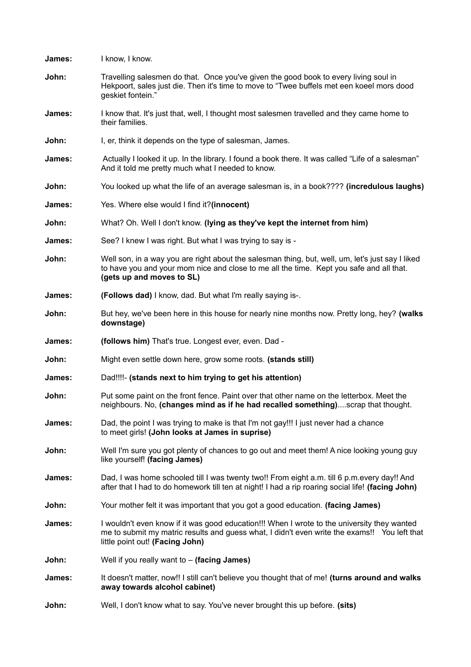| James: | I know, I know.                                                                                                                                                                                                                |
|--------|--------------------------------------------------------------------------------------------------------------------------------------------------------------------------------------------------------------------------------|
| John:  | Travelling salesmen do that. Once you've given the good book to every living soul in<br>Hekpoort, sales just die. Then it's time to move to "Twee buffels met een koeel mors dood<br>geskiet fontein."                         |
| James: | I know that. It's just that, well, I thought most salesmen travelled and they came home to<br>their families.                                                                                                                  |
| John:  | I, er, think it depends on the type of salesman, James.                                                                                                                                                                        |
| James: | Actually I looked it up. In the library. I found a book there. It was called "Life of a salesman"<br>And it told me pretty much what I needed to know.                                                                         |
| John:  | You looked up what the life of an average salesman is, in a book???? (incredulous laughs)                                                                                                                                      |
| James: | Yes. Where else would I find it?(innocent)                                                                                                                                                                                     |
| John:  | What? Oh. Well I don't know. (lying as they've kept the internet from him)                                                                                                                                                     |
| James: | See? I knew I was right. But what I was trying to say is -                                                                                                                                                                     |
| John:  | Well son, in a way you are right about the salesman thing, but, well, um, let's just say I liked<br>to have you and your mom nice and close to me all the time. Kept you safe and all that.<br>(gets up and moves to SL)       |
| James: | (Follows dad) I know, dad. But what I'm really saying is-.                                                                                                                                                                     |
| John:  | But hey, we've been here in this house for nearly nine months now. Pretty long, hey? (walks<br>downstage)                                                                                                                      |
|        |                                                                                                                                                                                                                                |
| James: | (follows him) That's true. Longest ever, even. Dad -                                                                                                                                                                           |
| John:  | Might even settle down here, grow some roots. (stands still)                                                                                                                                                                   |
| James: | Dad!!!!- (stands next to him trying to get his attention)                                                                                                                                                                      |
| John:  | Put some paint on the front fence. Paint over that other name on the letterbox. Meet the<br>neighbours. No, (changes mind as if he had recalled something)scrap that thought.                                                  |
| James: | Dad, the point I was trying to make is that I'm not gay!!! I just never had a chance<br>to meet girls! (John looks at James in suprise)                                                                                        |
| John:  | Well I'm sure you got plenty of chances to go out and meet them! A nice looking young guy<br>like yourself! (facing James)                                                                                                     |
| James: | Dad, I was home schooled till I was twenty two!! From eight a.m. till 6 p.m.every day!! And<br>after that I had to do homework till ten at night! I had a rip roaring social life! (facing John)                               |
| John:  | Your mother felt it was important that you got a good education. (facing James)                                                                                                                                                |
| James: | I wouldn't even know if it was good education!!! When I wrote to the university they wanted<br>me to submit my matric results and guess what, I didn't even write the exams!! You left that<br>little point out! (Facing John) |
| John:  | Well if you really want to $-$ (facing James)                                                                                                                                                                                  |
| James: | It doesn't matter, now!! I still can't believe you thought that of me! (turns around and walks<br>away towards alcohol cabinet)                                                                                                |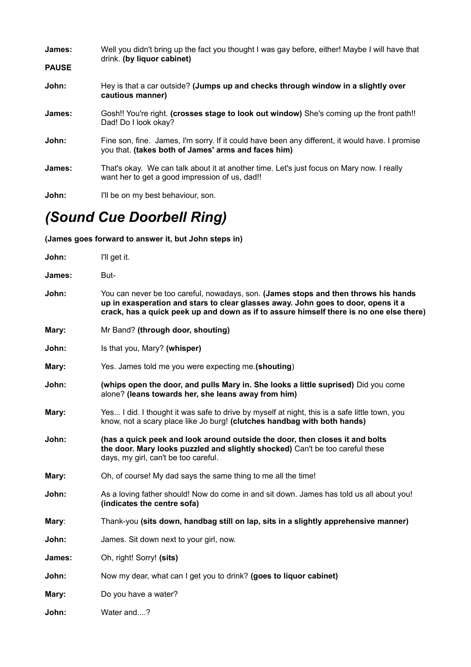| James:       | Well you didn't bring up the fact you thought I was gay before, either! Maybe I will have that<br>drink. (by liquor cabinet)                           |
|--------------|--------------------------------------------------------------------------------------------------------------------------------------------------------|
| <b>PAUSE</b> |                                                                                                                                                        |
| John:        | Hey is that a car outside? (Jumps up and checks through window in a slightly over<br>cautious manner)                                                  |
| James:       | Gosh!! You're right. (crosses stage to look out window) She's coming up the front path!!<br>Dad! Do I look okay?                                       |
| John:        | Fine son, fine. James, I'm sorry. If it could have been any different, it would have. I promise<br>you that. (takes both of James' arms and faces him) |
| James:       | That's okay. We can talk about it at another time. Let's just focus on Mary now. I really<br>want her to get a good impression of us, dad!!            |
| John:        | I'll be on my best behaviour, son.                                                                                                                     |

## *(Sound Cue Doorbell Ring)*

**(James goes forward to answer it, but John steps in)**

| John:  | I'll get it.                                                                                                                                                                                                                                                        |
|--------|---------------------------------------------------------------------------------------------------------------------------------------------------------------------------------------------------------------------------------------------------------------------|
| James: | But-                                                                                                                                                                                                                                                                |
| John:  | You can never be too careful, nowadays, son. (James stops and then throws his hands<br>up in exasperation and stars to clear glasses away. John goes to door, opens it a<br>crack, has a quick peek up and down as if to assure himself there is no one else there) |
| Mary:  | Mr Band? (through door, shouting)                                                                                                                                                                                                                                   |
| John:  | Is that you, Mary? (whisper)                                                                                                                                                                                                                                        |
| Mary:  | Yes. James told me you were expecting me. (shouting)                                                                                                                                                                                                                |
| John:  | (whips open the door, and pulls Mary in. She looks a little suprised) Did you come<br>alone? (leans towards her, she leans away from him)                                                                                                                           |
| Mary:  | Yes I did. I thought it was safe to drive by myself at night, this is a safe little town, you<br>know, not a scary place like Jo burg! (clutches handbag with both hands)                                                                                           |
| John:  | (has a quick peek and look around outside the door, then closes it and bolts<br>the door. Mary looks puzzled and slightly shocked) Can't be too careful these<br>days, my girl, can't be too careful.                                                               |
| Mary:  | Oh, of course! My dad says the same thing to me all the time!                                                                                                                                                                                                       |
| John:  | As a loving father should! Now do come in and sit down. James has told us all about you!<br>(indicates the centre sofa)                                                                                                                                             |
| Mary:  | Thank-you (sits down, handbag still on lap, sits in a slightly apprehensive manner)                                                                                                                                                                                 |
| John:  | James. Sit down next to your girl, now.                                                                                                                                                                                                                             |
| James: | Oh, right! Sorry! (sits)                                                                                                                                                                                                                                            |
| John:  | Now my dear, what can I get you to drink? (goes to liquor cabinet)                                                                                                                                                                                                  |
| Mary:  | Do you have a water?                                                                                                                                                                                                                                                |
| John:  | Water and?                                                                                                                                                                                                                                                          |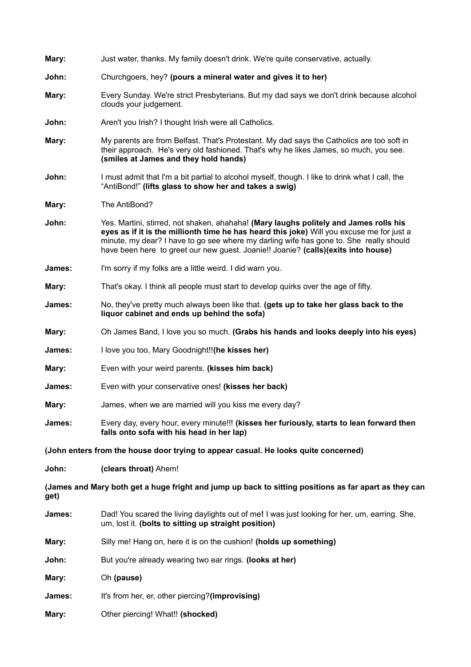| Mary:                                                                                                         | Just water, thanks. My family doesn't drink. We're quite conservative, actually.                                                                                                                                                                                                                                                                                  |
|---------------------------------------------------------------------------------------------------------------|-------------------------------------------------------------------------------------------------------------------------------------------------------------------------------------------------------------------------------------------------------------------------------------------------------------------------------------------------------------------|
| John:                                                                                                         | Churchgoers, hey? (pours a mineral water and gives it to her)                                                                                                                                                                                                                                                                                                     |
| Mary:                                                                                                         | Every Sunday. We're strict Presbyterians. But my dad says we don't drink because alcohol<br>clouds your judgement.                                                                                                                                                                                                                                                |
| John:                                                                                                         | Aren't you Irish? I thought Irish were all Catholics.                                                                                                                                                                                                                                                                                                             |
| Mary:                                                                                                         | My parents are from Belfast. That's Protestant. My dad says the Catholics are too soft in<br>their approach. He's very old fashioned. That's why he likes James, so much, you see.<br>(smiles at James and they hold hands)                                                                                                                                       |
| John:                                                                                                         | I must admit that I'm a bit partial to alcohol myself, though. I like to drink what I call, the<br>"AntiBond!" (lifts glass to show her and takes a swig)                                                                                                                                                                                                         |
| Mary:                                                                                                         | The AntiBond?                                                                                                                                                                                                                                                                                                                                                     |
| John:                                                                                                         | Yes. Martini, stirred, not shaken, ahahaha! (Mary laughs politely and James rolls his<br>eyes as if it is the millionth time he has heard this joke) Will you excuse me for just a<br>minute, my dear? I have to go see where my darling wife has gone to. She really should<br>have been here to greet our new guest. Joanie!! Joanie? (calls)(exits into house) |
| James:                                                                                                        | I'm sorry if my folks are a little weird. I did warn you.                                                                                                                                                                                                                                                                                                         |
| Mary:                                                                                                         | That's okay. I think all people must start to develop quirks over the age of fifty.                                                                                                                                                                                                                                                                               |
| James:                                                                                                        | No, they've pretty much always been like that. (gets up to take her glass back to the<br>liquor cabinet and ends up behind the sofa)                                                                                                                                                                                                                              |
| Mary:                                                                                                         | Oh James Band, I love you so much. (Grabs his hands and looks deeply into his eyes)                                                                                                                                                                                                                                                                               |
| James:                                                                                                        | I love you too, Mary Goodnight!! (he kisses her)                                                                                                                                                                                                                                                                                                                  |
| Mary:                                                                                                         | Even with your weird parents. (kisses him back)                                                                                                                                                                                                                                                                                                                   |
| James:                                                                                                        | Even with your conservative ones! (kisses her back)                                                                                                                                                                                                                                                                                                               |
| Mary:                                                                                                         | James, when we are married will you kiss me every day?                                                                                                                                                                                                                                                                                                            |
| James:                                                                                                        | Every day, every hour, every minute!!! (kisses her furiously, starts to lean forward then<br>falls onto sofa with his head in her lap)                                                                                                                                                                                                                            |
|                                                                                                               | (John enters from the house door trying to appear casual. He looks quite concerned)                                                                                                                                                                                                                                                                               |
| John:                                                                                                         | (clears throat) Ahem!                                                                                                                                                                                                                                                                                                                                             |
| (James and Mary both get a huge fright and jump up back to sitting positions as far apart as they can<br>get) |                                                                                                                                                                                                                                                                                                                                                                   |
| James:                                                                                                        | Dad! You scared the living daylights out of me! I was just looking for her, um, earring. She,<br>um, lost it. (bolts to sitting up straight position)                                                                                                                                                                                                             |
| Mary:                                                                                                         | Silly me! Hang on, here it is on the cushion! (holds up something)                                                                                                                                                                                                                                                                                                |
| John:                                                                                                         | But you're already wearing two ear rings. (looks at her)                                                                                                                                                                                                                                                                                                          |
| Mary:                                                                                                         | Oh (pause)                                                                                                                                                                                                                                                                                                                                                        |
| James:                                                                                                        | It's from her, er, other piercing?(improvising)                                                                                                                                                                                                                                                                                                                   |
| Mary:                                                                                                         | Other piercing! What!! (shocked)                                                                                                                                                                                                                                                                                                                                  |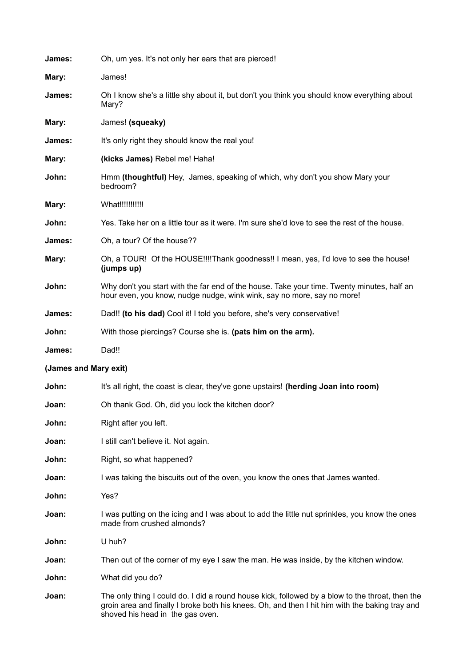| James:                | Oh, um yes. It's not only her ears that are pierced!                                                                                                                                                                                  |
|-----------------------|---------------------------------------------------------------------------------------------------------------------------------------------------------------------------------------------------------------------------------------|
| Mary:                 | James!                                                                                                                                                                                                                                |
| James:                | Oh I know she's a little shy about it, but don't you think you should know everything about<br>Mary?                                                                                                                                  |
| Mary:                 | James! (squeaky)                                                                                                                                                                                                                      |
| James:                | It's only right they should know the real you!                                                                                                                                                                                        |
| Mary:                 | (kicks James) Rebel me! Haha!                                                                                                                                                                                                         |
| John:                 | Hmm (thoughtful) Hey, James, speaking of which, why don't you show Mary your<br>bedroom?                                                                                                                                              |
| Mary:                 | What !!!!!!!!!!!!                                                                                                                                                                                                                     |
| John:                 | Yes. Take her on a little tour as it were. I'm sure she'd love to see the rest of the house.                                                                                                                                          |
| James:                | Oh, a tour? Of the house??                                                                                                                                                                                                            |
| Mary:                 | Oh, a TOUR! Of the HOUSE!!!!Thank goodness!! I mean, yes, I'd love to see the house!<br>(jumps up)                                                                                                                                    |
| John:                 | Why don't you start with the far end of the house. Take your time. Twenty minutes, half an<br>hour even, you know, nudge nudge, wink wink, say no more, say no more!                                                                  |
| James:                | Dad!! (to his dad) Cool it! I told you before, she's very conservative!                                                                                                                                                               |
| John:                 | With those piercings? Course she is. (pats him on the arm).                                                                                                                                                                           |
| James:                | Dad!!                                                                                                                                                                                                                                 |
| (James and Mary exit) |                                                                                                                                                                                                                                       |
| John:                 | It's all right, the coast is clear, they've gone upstairs! (herding Joan into room)                                                                                                                                                   |
| Joan:                 | Oh thank God. Oh, did you lock the kitchen door?                                                                                                                                                                                      |
| John:                 | Right after you left.                                                                                                                                                                                                                 |
| Joan:                 | I still can't believe it. Not again.                                                                                                                                                                                                  |
| John:                 | Right, so what happened?                                                                                                                                                                                                              |
| Joan:                 | I was taking the biscuits out of the oven, you know the ones that James wanted.                                                                                                                                                       |
| John:                 | Yes?                                                                                                                                                                                                                                  |
| Joan:                 | I was putting on the icing and I was about to add the little nut sprinkles, you know the ones<br>made from crushed almonds?                                                                                                           |
| John:                 | U huh?                                                                                                                                                                                                                                |
| Joan:                 | Then out of the corner of my eye I saw the man. He was inside, by the kitchen window.                                                                                                                                                 |
| John:                 | What did you do?                                                                                                                                                                                                                      |
| Joan:                 | The only thing I could do. I did a round house kick, followed by a blow to the throat, then the<br>groin area and finally I broke both his knees. Oh, and then I hit him with the baking tray and<br>shoved his head in the gas oven. |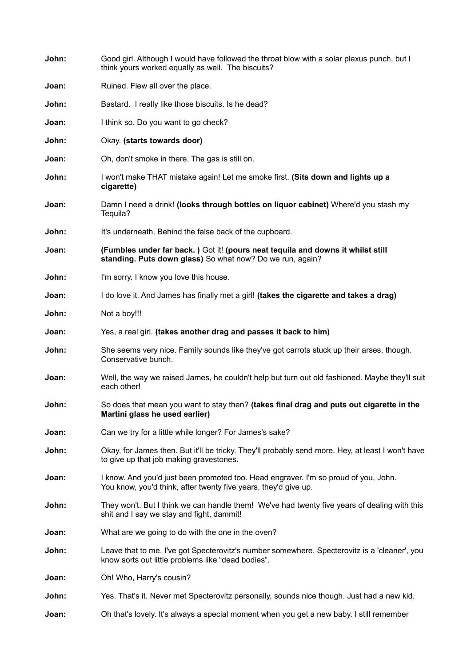| John: | Good girl. Although I would have followed the throat blow with a solar plexus punch, but I<br>think yours worked equally as well. The biscuits?        |
|-------|--------------------------------------------------------------------------------------------------------------------------------------------------------|
| Joan: | Ruined. Flew all over the place.                                                                                                                       |
| John: | Bastard. I really like those biscuits. Is he dead?                                                                                                     |
| Joan: | I think so. Do you want to go check?                                                                                                                   |
| John: | Okay. (starts towards door)                                                                                                                            |
| Joan: | Oh, don't smoke in there. The gas is still on.                                                                                                         |
| John: | I won't make THAT mistake again! Let me smoke first. (Sits down and lights up a<br>cigarette)                                                          |
| Joan: | Damn I need a drink! (looks through bottles on liquor cabinet) Where'd you stash my<br>Tequila?                                                        |
| John: | It's underneath. Behind the false back of the cupboard.                                                                                                |
| Joan: | (Fumbles under far back.) Got it! (pours neat tequila and downs it whilst still<br>standing. Puts down glass) So what now? Do we run, again?           |
| John: | I'm sorry. I know you love this house.                                                                                                                 |
| Joan: | I do love it. And James has finally met a girl! (takes the cigarette and takes a drag)                                                                 |
| John: | Not a boy!!!                                                                                                                                           |
| Joan: | Yes, a real girl. (takes another drag and passes it back to him)                                                                                       |
| John: | She seems very nice. Family sounds like they've got carrots stuck up their arses, though.<br>Conservative bunch.                                       |
| Joan: | Well, the way we raised James, he couldn't help but turn out old fashioned. Maybe they'll suit<br>each other!                                          |
| John: | So does that mean you want to stay then? (takes final drag and puts out cigarette in the<br>Martini glass he used earlier)                             |
| Joan: | Can we try for a little while longer? For James's sake?                                                                                                |
| John: | Okay, for James then. But it'll be tricky. They'll probably send more. Hey, at least I won't have<br>to give up that job making gravestones.           |
| Joan: | I know. And you'd just been promoted too. Head engraver. I'm so proud of you, John.<br>You know, you'd think, after twenty five years, they'd give up. |
| John: | They won't. But I think we can handle them! We've had twenty five years of dealing with this<br>shit and I say we stay and fight, dammit!              |
| Joan: | What are we going to do with the one in the oven?                                                                                                      |
| John: | Leave that to me. I've got Specterovitz's number somewhere. Specterovitz is a 'cleaner', you<br>know sorts out little problems like "dead bodies".     |
| Joan: | Oh! Who, Harry's cousin?                                                                                                                               |
| John: | Yes. That's it. Never met Specterovitz personally, sounds nice though. Just had a new kid.                                                             |
| Joan: | Oh that's lovely. It's always a special moment when you get a new baby. I still remember                                                               |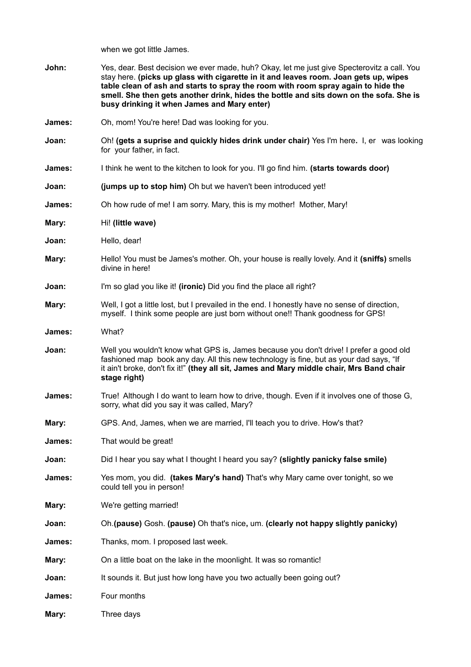when we got little James.

| John:  | Yes, dear. Best decision we ever made, huh? Okay, let me just give Specterovitz a call. You<br>stay here. (picks up glass with cigarette in it and leaves room. Joan gets up, wipes<br>table clean of ash and starts to spray the room with room spray again to hide the<br>smell. She then gets another drink, hides the bottle and sits down on the sofa. She is<br>busy drinking it when James and Mary enter) |
|--------|-------------------------------------------------------------------------------------------------------------------------------------------------------------------------------------------------------------------------------------------------------------------------------------------------------------------------------------------------------------------------------------------------------------------|
| James: | Oh, mom! You're here! Dad was looking for you.                                                                                                                                                                                                                                                                                                                                                                    |
| Joan:  | Oh! (gets a suprise and quickly hides drink under chair) Yes I'm here. I, er was looking<br>for your father, in fact.                                                                                                                                                                                                                                                                                             |
| James: | I think he went to the kitchen to look for you. I'll go find him. (starts towards door)                                                                                                                                                                                                                                                                                                                           |
| Joan:  | (jumps up to stop him) Oh but we haven't been introduced yet!                                                                                                                                                                                                                                                                                                                                                     |
| James: | Oh how rude of me! I am sorry. Mary, this is my mother! Mother, Mary!                                                                                                                                                                                                                                                                                                                                             |
| Mary:  | Hi! (little wave)                                                                                                                                                                                                                                                                                                                                                                                                 |
| Joan:  | Hello, dear!                                                                                                                                                                                                                                                                                                                                                                                                      |
| Mary:  | Hello! You must be James's mother. Oh, your house is really lovely. And it (sniffs) smells<br>divine in here!                                                                                                                                                                                                                                                                                                     |
| Joan:  | I'm so glad you like it! (ironic) Did you find the place all right?                                                                                                                                                                                                                                                                                                                                               |
| Mary:  | Well, I got a little lost, but I prevailed in the end. I honestly have no sense of direction,<br>myself. I think some people are just born without one!! Thank goodness for GPS!                                                                                                                                                                                                                                  |
| James: | What?                                                                                                                                                                                                                                                                                                                                                                                                             |
| Joan:  | Well you wouldn't know what GPS is, James because you don't drive! I prefer a good old<br>fashioned map book any day. All this new technology is fine, but as your dad says, "If<br>it ain't broke, don't fix it!" (they all sit, James and Mary middle chair, Mrs Band chair<br>stage right)                                                                                                                     |
| James: | True! Although I do want to learn how to drive, though. Even if it involves one of those G,<br>sorry, what did you say it was called, Mary?                                                                                                                                                                                                                                                                       |
| Mary:  | GPS. And, James, when we are married, I'll teach you to drive. How's that?                                                                                                                                                                                                                                                                                                                                        |
| James: | That would be great!                                                                                                                                                                                                                                                                                                                                                                                              |
| Joan:  | Did I hear you say what I thought I heard you say? (slightly panicky false smile)                                                                                                                                                                                                                                                                                                                                 |
| James: | Yes mom, you did. (takes Mary's hand) That's why Mary came over tonight, so we<br>could tell you in person!                                                                                                                                                                                                                                                                                                       |
| Mary:  | We're getting married!                                                                                                                                                                                                                                                                                                                                                                                            |
| Joan:  | Oh. (pause) Gosh. (pause) Oh that's nice, um. (clearly not happy slightly panicky)                                                                                                                                                                                                                                                                                                                                |
| James: | Thanks, mom. I proposed last week.                                                                                                                                                                                                                                                                                                                                                                                |
| Mary:  | On a little boat on the lake in the moonlight. It was so romantic!                                                                                                                                                                                                                                                                                                                                                |
| Joan:  | It sounds it. But just how long have you two actually been going out?                                                                                                                                                                                                                                                                                                                                             |
| James: | Four months                                                                                                                                                                                                                                                                                                                                                                                                       |
| Mary:  | Three days                                                                                                                                                                                                                                                                                                                                                                                                        |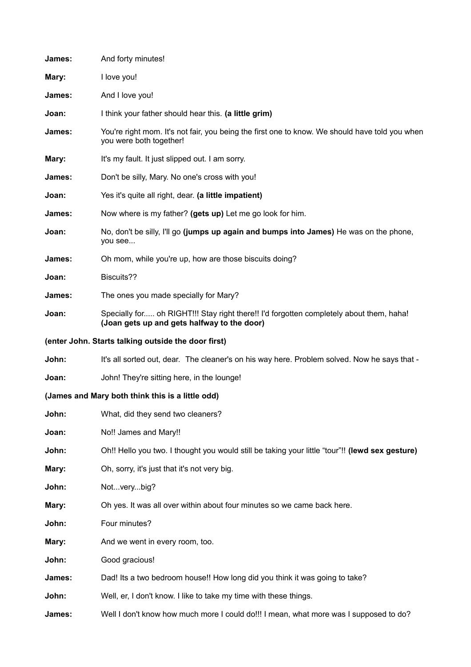| James: | And forty minutes!                                                                                                                     |
|--------|----------------------------------------------------------------------------------------------------------------------------------------|
| Mary:  | I love you!                                                                                                                            |
| James: | And I love you!                                                                                                                        |
| Joan:  | I think your father should hear this. (a little grim)                                                                                  |
| James: | You're right mom. It's not fair, you being the first one to know. We should have told you when<br>you were both together!              |
| Mary:  | It's my fault. It just slipped out. I am sorry.                                                                                        |
| James: | Don't be silly, Mary. No one's cross with you!                                                                                         |
| Joan:  | Yes it's quite all right, dear. (a little impatient)                                                                                   |
| James: | Now where is my father? (gets up) Let me go look for him.                                                                              |
| Joan:  | No, don't be silly, I'll go (jumps up again and bumps into James) He was on the phone,<br>you see                                      |
| James: | Oh mom, while you're up, how are those biscuits doing?                                                                                 |
| Joan:  | Biscuits??                                                                                                                             |
| James: | The ones you made specially for Mary?                                                                                                  |
| Joan:  | Specially for oh RIGHT!!! Stay right there!! I'd forgotten completely about them, haha!<br>(Joan gets up and gets halfway to the door) |
|        | (enter John. Starts talking outside the door first)                                                                                    |
| John:  | It's all sorted out, dear. The cleaner's on his way here. Problem solved. Now he says that -                                           |
| Joan:  | John! They're sitting here, in the lounge!                                                                                             |
|        | (James and Mary both think this is a little odd)                                                                                       |
| John:  | What, did they send two cleaners?                                                                                                      |
| Joan:  | No!! James and Mary!!                                                                                                                  |
| John:  | Oh!! Hello you two. I thought you would still be taking your little "tour"!! (lewd sex gesture)                                        |
| Mary:  | Oh, sorry, it's just that it's not very big.                                                                                           |
| John:  | Notverybig?                                                                                                                            |
| Mary:  | Oh yes. It was all over within about four minutes so we came back here.                                                                |
| John:  | Four minutes?                                                                                                                          |
| Mary:  | And we went in every room, too.                                                                                                        |
| John:  | Good gracious!                                                                                                                         |
| James: | Dad! Its a two bedroom house!! How long did you think it was going to take?                                                            |
| John:  | Well, er, I don't know. I like to take my time with these things.                                                                      |
| James: | Well I don't know how much more I could do!!! I mean, what more was I supposed to do?                                                  |